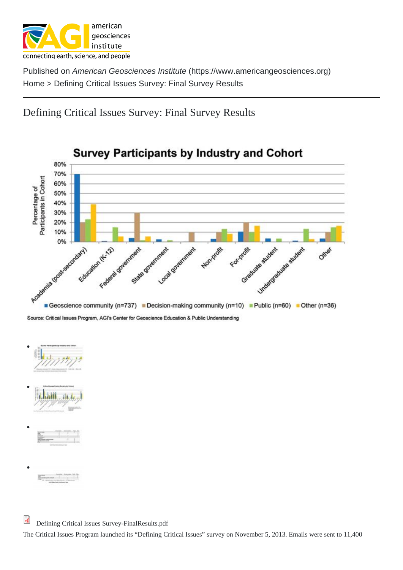[Defin](https://www.americangeosciences.org/)ing Critical Issues Survey: Fin[al Survey Results](https://www.americangeosciences.org)

 $\bullet$ 

The Critical Issues Program launched its "Defining Critical Issues" survey on November 5, 2013. Emails were sent to 11,400